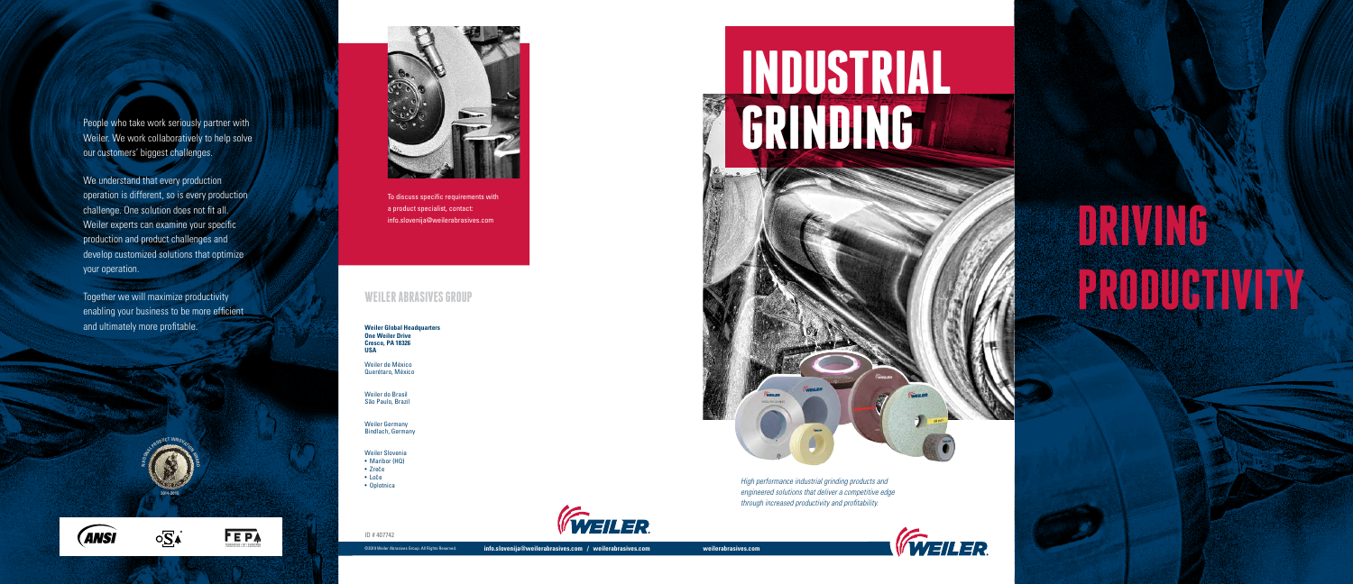©2019 Weiler Abrasives Group. All Rights Reserved. **info.slovenija@weilerabrasives.com / weilerabrasives.com weilerabrasives.com**





**FEPA** 

**SERV PRODUCT INNOVATION** 



Weiler. We work collaboratively to help solve our customers' biggest challenges.

**INDUSTRIAL**

# a product specialist, contact:<br>info.slovenija@weilerabrasives.com WEILER ABRASIVES GROUP



We understand that every production operation is different, so is every production challenge. One solution does not fit all. Weiler experts can examine your specific production and product challenges and develop customized solutions that optimize your operation.

- Loče
- 
- Oplotnica



Together we will maximize productivity enabling your business to be more efficient and ultimately more profitable.

**2014-2015**

To discuss specific requirements with a product specialist, contact:

**Weiler Global Headquarters One Weiler Drive Cresco, PA 18326 USA**

Weiler de México Querétaro, México

Weiler do Brasil São Paulo, Brazil

Weiler Germany Bindlach, Germany

Weiler Slovenia • Maribor (HQ)

• Zreče

ID # 407742